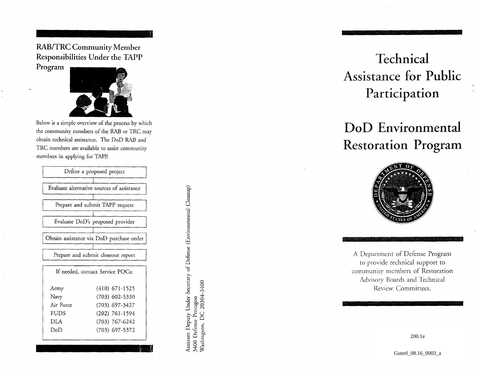RAB/TR C Communit y Membe r Responsibilitie s Unde r th e TAP P

Progra m



Belo w i s a simpl e overvie w o f th e proces s b y whic h th e communit y member s o f th e RA B o r TR C ma y obtai n technica l assistance . Th e Do D RA B an d TR C member s ar e availabl e t o assis t communit y member s i n applyin g fo r TAPP .

| Define a proposed project                  |  |
|--------------------------------------------|--|
| Evaluate alternative sources of assistance |  |
| Prepare and submit TAPP request            |  |
| Evaluate DoD's proposed provider           |  |
| Obtain assistance via DoD purchase order   |  |
| Prepare and submit closeout report         |  |
| If needed, contact Service POCs:           |  |
| $(410)$ 671-1525<br>Army                   |  |
| (703) 602-5330<br>Navy                     |  |
| Air Force<br>(703) 697-3427                |  |
| <b>FUDS</b><br>$(202)$ 761-1594            |  |
| DLA<br>$(703)$ 767-6242                    |  |
| (703) 697-5372<br>DoD                      |  |

**a . a8U <- §HJ Qu**retary<br>400 **1 2** ու<br>Defa<br>ngtor **g-S***M*  $\tilde{\mathcal{S}}$ 

# Technica l Assistanc e fo r Publi c Participatio n

# DoD Environmental Restoratio n Progra m



A Departmen t o f Defens e Progra m t o provid e technica l suppor t t o communit y member s o f Restoratio n Advisory Board s an d Technica l Revie w Committees .